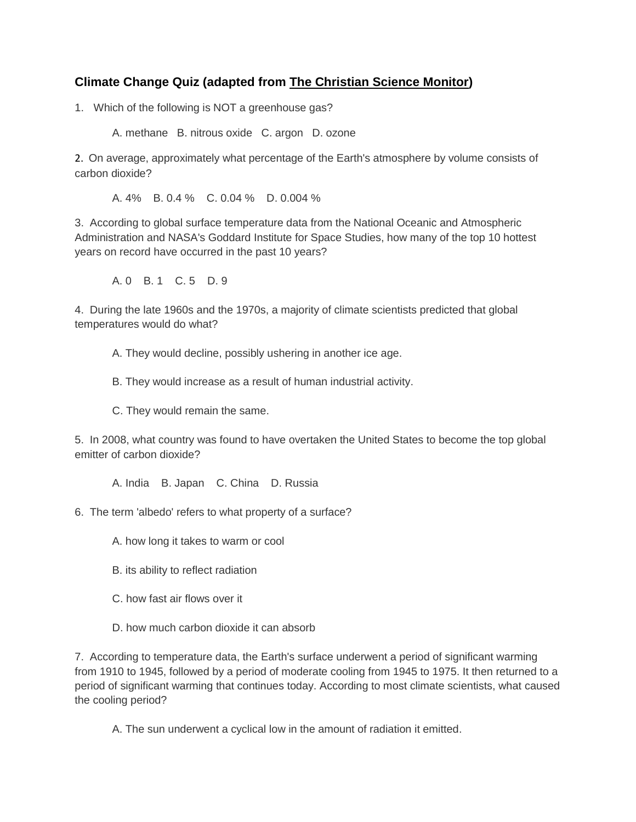## **Climate Change Quiz (adapted from The Christian Science Monitor)**

1. Which of the following is NOT a greenhouse gas?

A. methane B. nitrous oxide C. argon D. ozone

2. On average, approximately what percentage of the Earth's atmosphere by volume consists of carbon dioxide?

A. 4% B. 0.4 % C. 0.04 % D. 0.004 %

3. According to global surface temperature data from the National Oceanic and Atmospheric Administration and NASA's Goddard Institute for Space Studies, how many of the top 10 hottest years on record have occurred in the past 10 years?

A. 0 B. 1 C. 5 D. 9

4. During the late 1960s and the 1970s, a majority of climate scientists predicted that global temperatures would do what?

A. They would decline, possibly ushering in another ice age.

B. They would increase as a result of human industrial activity.

C. They would remain the same.

5. In 2008, what country was found to have overtaken the United States to become the top global emitter of carbon dioxide?

A. India B. Japan C. China D. Russia

- 6. The term 'albedo' refers to what property of a surface?
	- A. how long it takes to warm or cool
	- B. its ability to reflect radiation
	- C. how fast air flows over it
	- D. how much carbon dioxide it can absorb

7. According to temperature data, the Earth's surface underwent a period of significant warming from 1910 to 1945, followed by a period of moderate cooling from 1945 to 1975. It then returned to a period of significant warming that continues today. According to most climate scientists, what caused the cooling period?

A. The sun underwent a cyclical low in the amount of radiation it emitted.